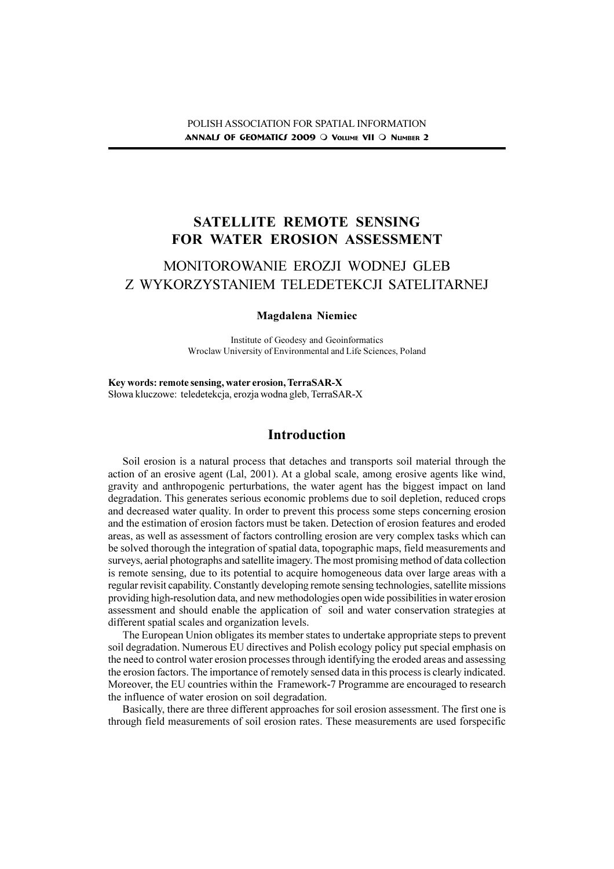# SATELLITE REMOTE SENSING FOR WATER EROSION ASSESSMENT

# MONITOROWANIE EROZJI WODNEJ GLEB Z WYKORZYSTANIEM TELEDETEKCJI SATELITARNEJ

#### Magdalena Niemiec

Institute of Geodesy and Geoinformatics Wroclaw University of Environmental and Life Sciences, Poland

Key words: remote sensing, water erosion, TerraSAR-X Słowa kluczowe: teledetekcja, erozja wodna gleb, TerraSAR-X

## Introduction

Soil erosion is a natural process that detaches and transports soil material through the action of an erosive agent (Lal, 2001). At a global scale, among erosive agents like wind, gravity and anthropogenic perturbations, the water agent has the biggest impact on land degradation. This generates serious economic problems due to soil depletion, reduced crops and decreased water quality. In order to prevent this process some steps concerning erosion and the estimation of erosion factors must be taken. Detection of erosion features and eroded areas, as well as assessment of factors controlling erosion are very complex tasks which can be solved thorough the integration of spatial data, topographic maps, field measurements and surveys, aerial photographs and satellite imagery. The most promising method of data collection is remote sensing, due to its potential to acquire homogeneous data over large areas with a regular revisit capability. Constantly developing remote sensing technologies, satellite missions providing high-resolution data, and new methodologies open wide possibilities in water erosion assessment and should enable the application of soil and water conservation strategies at different spatial scales and organization levels.

The European Union obligates its member states to undertake appropriate steps to prevent soil degradation. Numerous EU directives and Polish ecology policy put special emphasis on the need to control water erosion processes through identifying the eroded areas and assessing the erosion factors. The importance of remotely sensed data in this process is clearly indicated. Moreover, the EU countries within the Framework-7 Programme are encouraged to research the influence of water erosion on soil degradation.

Basically, there are three different approaches for soil erosion assessment. The first one is through field measurements of soil erosion rates. These measurements are used forspecific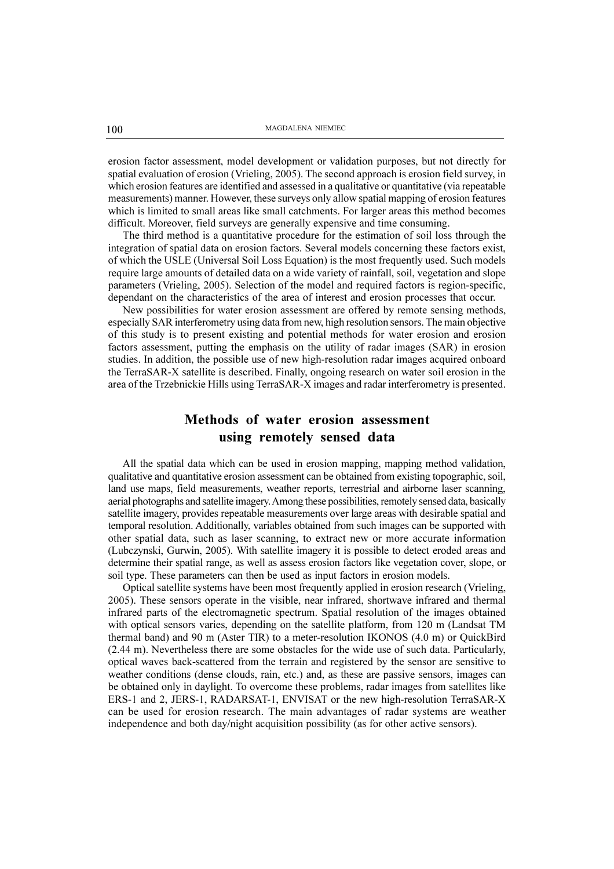erosion factor assessment, model development or validation purposes, but not directly for spatial evaluation of erosion (Vrieling, 2005). The second approach is erosion field survey, in which erosion features are identified and assessed in a qualitative or quantitative (via repeatable measurements) manner. However, these surveys only allow spatial mapping of erosion features which is limited to small areas like small catchments. For larger areas this method becomes difficult. Moreover, field surveys are generally expensive and time consuming.

The third method is a quantitative procedure for the estimation of soil loss through the integration of spatial data on erosion factors. Several models concerning these factors exist, of which the USLE (Universal Soil Loss Equation) is the most frequently used. Such models require large amounts of detailed data on a wide variety of rainfall, soil, vegetation and slope parameters (Vrieling, 2005). Selection of the model and required factors is region-specific, dependant on the characteristics of the area of interest and erosion processes that occur.

New possibilities for water erosion assessment are offered by remote sensing methods, especially SAR interferometry using data from new, high resolution sensors. The main objective of this study is to present existing and potential methods for water erosion and erosion factors assessment, putting the emphasis on the utility of radar images (SAR) in erosion studies. In addition, the possible use of new high-resolution radar images acquired onboard the TerraSAR-X satellite is described. Finally, ongoing research on water soil erosion in the area of the Trzebnickie Hills using TerraSAR-X images and radar interferometry is presented.

# Methods of water erosion assessment using remotely sensed data

All the spatial data which can be used in erosion mapping, mapping method validation, qualitative and quantitative erosion assessment can be obtained from existing topographic, soil, land use maps, field measurements, weather reports, terrestrial and airborne laser scanning, aerial photographs and satellite imagery. Among these possibilities, remotely sensed data, basically satellite imagery, provides repeatable measurements over large areas with desirable spatial and temporal resolution. Additionally, variables obtained from such images can be supported with other spatial data, such as laser scanning, to extract new or more accurate information (Lubczynski, Gurwin, 2005). With satellite imagery it is possible to detect eroded areas and determine their spatial range, as well as assess erosion factors like vegetation cover, slope, or soil type. These parameters can then be used as input factors in erosion models.

Optical satellite systems have been most frequently applied in erosion research (Vrieling, 2005). These sensors operate in the visible, near infrared, shortwave infrared and thermal infrared parts of the electromagnetic spectrum. Spatial resolution of the images obtained with optical sensors varies, depending on the satellite platform, from 120 m (Landsat TM thermal band) and 90 m (Aster TIR) to a meter-resolution IKONOS (4.0 m) or QuickBird (2.44 m). Nevertheless there are some obstacles for the wide use of such data. Particularly, optical waves back-scattered from the terrain and registered by the sensor are sensitive to weather conditions (dense clouds, rain, etc.) and, as these are passive sensors, images can be obtained only in daylight. To overcome these problems, radar images from satellites like ERS-1 and 2, JERS-1, RADARSAT-1, ENVISAT or the new high-resolution TerraSAR-X can be used for erosion research. The main advantages of radar systems are weather independence and both day/night acquisition possibility (as for other active sensors).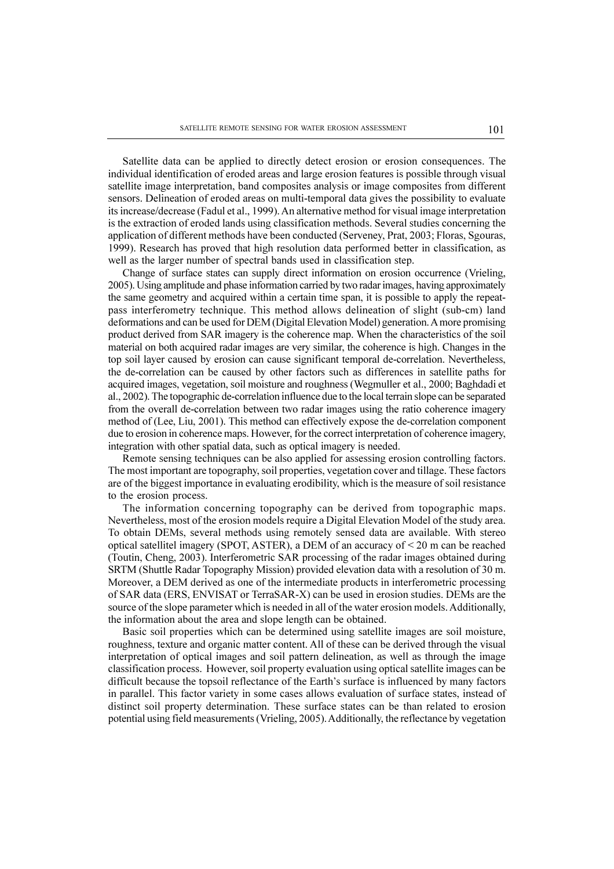Satellite data can be applied to directly detect erosion or erosion consequences. The individual identification of eroded areas and large erosion features is possible through visual satellite image interpretation, band composites analysis or image composites from different sensors. Delineation of eroded areas on multi-temporal data gives the possibility to evaluate its increase/decrease (Fadul et al., 1999). An alternative method for visual image interpretation is the extraction of eroded lands using classification methods. Several studies concerning the application of different methods have been conducted (Serveney, Prat, 2003; Floras, Sgouras, 1999). Research has proved that high resolution data performed better in classification, as well as the larger number of spectral bands used in classification step.

Change of surface states can supply direct information on erosion occurrence (Vrieling, 2005). Using amplitude and phase information carried by two radar images, having approximately the same geometry and acquired within a certain time span, it is possible to apply the repeatpass interferometry technique. This method allows delineation of slight (sub-cm) land deformations and can be used for DEM (Digital Elevation Model) generation. A more promising product derived from SAR imagery is the coherence map. When the characteristics of the soil material on both acquired radar images are very similar, the coherence is high. Changes in the top soil layer caused by erosion can cause significant temporal de-correlation. Nevertheless, the de-correlation can be caused by other factors such as differences in satellite paths for acquired images, vegetation, soil moisture and roughness (Wegmuller et al., 2000; Baghdadi et al., 2002). The topographic de-correlation influence due to the local terrain slope can be separated from the overall de-correlation between two radar images using the ratio coherence imagery method of (Lee, Liu, 2001). This method can effectively expose the de-correlation component due to erosion in coherence maps. However, for the correct interpretation of coherence imagery, integration with other spatial data, such as optical imagery is needed.

Remote sensing techniques can be also applied for assessing erosion controlling factors. The most important are topography, soil properties, vegetation cover and tillage. These factors are of the biggest importance in evaluating erodibility, which is the measure of soil resistance to the erosion process.

The information concerning topography can be derived from topographic maps. Nevertheless, most of the erosion models require a Digital Elevation Model of the study area. To obtain DEMs, several methods using remotely sensed data are available. With stereo optical satellitel imagery (SPOT, ASTER), a DEM of an accuracy of  $\leq$  20 m can be reached (Toutin, Cheng, 2003). Interferometric SAR processing of the radar images obtained during SRTM (Shuttle Radar Topography Mission) provided elevation data with a resolution of 30 m. Moreover, a DEM derived as one of the intermediate products in interferometric processing of SAR data (ERS, ENVISAT or TerraSAR-X) can be used in erosion studies. DEMs are the source of the slope parameter which is needed in all of the water erosion models. Additionally, the information about the area and slope length can be obtained.

Basic soil properties which can be determined using satellite images are soil moisture, roughness, texture and organic matter content. All of these can be derived through the visual interpretation of optical images and soil pattern delineation, as well as through the image classification process. However, soil property evaluation using optical satellite images can be difficult because the topsoil reflectance of the Earth's surface is influenced by many factors in parallel. This factor variety in some cases allows evaluation of surface states, instead of distinct soil property determination. These surface states can be than related to erosion potential using field measurements (Vrieling, 2005). Additionally, the reflectance by vegetation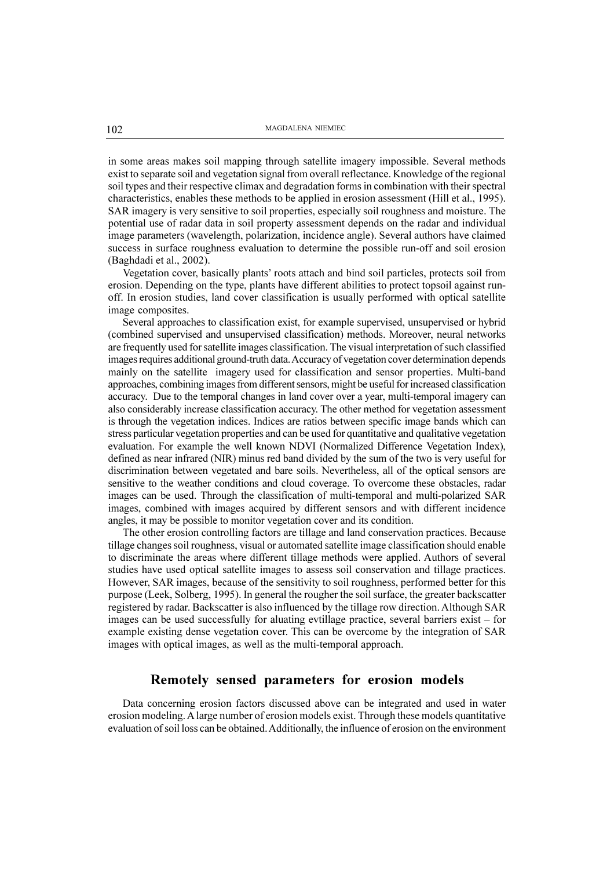in some areas makes soil mapping through satellite imagery impossible. Several methods exist to separate soil and vegetation signal from overall reflectance. Knowledge of the regional soil types and their respective climax and degradation forms in combination with their spectral characteristics, enables these methods to be applied in erosion assessment (Hill et al., 1995). SAR imagery is very sensitive to soil properties, especially soil roughness and moisture. The potential use of radar data in soil property assessment depends on the radar and individual image parameters (wavelength, polarization, incidence angle). Several authors have claimed success in surface roughness evaluation to determine the possible run-off and soil erosion (Baghdadi et al., 2002).

Vegetation cover, basically plants' roots attach and bind soil particles, protects soil from erosion. Depending on the type, plants have different abilities to protect topsoil against runoff. In erosion studies, land cover classification is usually performed with optical satellite image composites.

Several approaches to classification exist, for example supervised, unsupervised or hybrid (combined supervised and unsupervised classification) methods. Moreover, neural networks are frequently used for satellite images classification. The visual interpretation of such classified images requires additional ground-truth data. Accuracy of vegetation cover determination depends mainly on the satellite imagery used for classification and sensor properties. Multi-band approaches, combining images from different sensors, might be useful for increased classification accuracy. Due to the temporal changes in land cover over a year, multi-temporal imagery can also considerably increase classification accuracy. The other method for vegetation assessment is through the vegetation indices. Indices are ratios between specific image bands which can stress particular vegetation properties and can be used for quantitative and qualitative vegetation evaluation. For example the well known NDVI (Normalized Difference Vegetation Index), defined as near infrared (NIR) minus red band divided by the sum of the two is very useful for discrimination between vegetated and bare soils. Nevertheless, all of the optical sensors are sensitive to the weather conditions and cloud coverage. To overcome these obstacles, radar images can be used. Through the classification of multi-temporal and multi-polarized SAR images, combined with images acquired by different sensors and with different incidence angles, it may be possible to monitor vegetation cover and its condition.

The other erosion controlling factors are tillage and land conservation practices. Because tillage changes soil roughness, visual or automated satellite image classification should enable to discriminate the areas where different tillage methods were applied. Authors of several studies have used optical satellite images to assess soil conservation and tillage practices. However, SAR images, because of the sensitivity to soil roughness, performed better for this purpose (Leek, Solberg, 1995). In general the rougher the soil surface, the greater backscatter registered by radar. Backscatter is also influenced by the tillage row direction. Although SAR images can be used successfully for aluating evtillage practice, several barriers exist  $-$  for example existing dense vegetation cover. This can be overcome by the integration of SAR images with optical images, as well as the multi-temporal approach.

## Remotely sensed parameters for erosion models

Data concerning erosion factors discussed above can be integrated and used in water erosion modeling. A large number of erosion models exist. Through these models quantitative evaluation of soil loss can be obtained. Additionally, the influence of erosion on the environment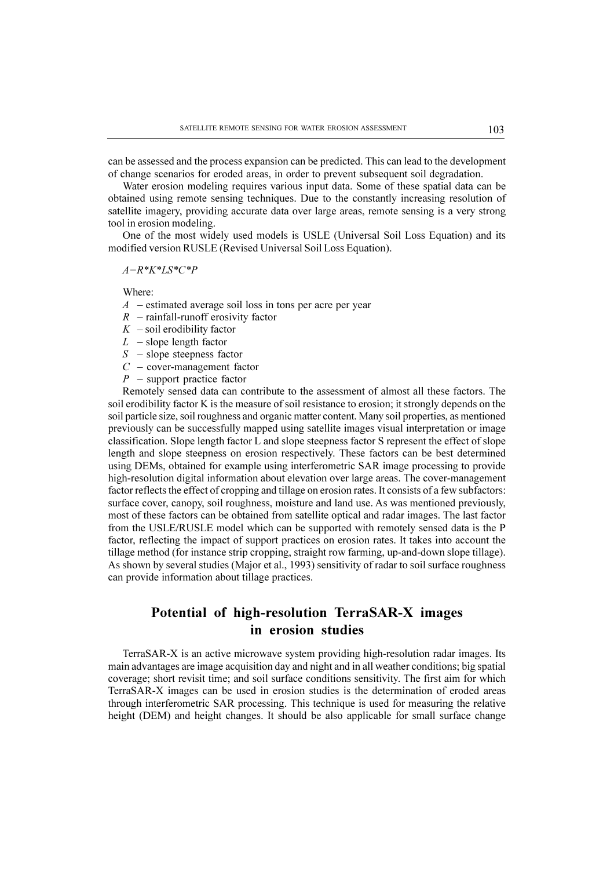can be assessed and the process expansion can be predicted. This can lead to the development of change scenarios for eroded areas, in order to prevent subsequent soil degradation.

Water erosion modeling requires various input data. Some of these spatial data can be obtained using remote sensing techniques. Due to the constantly increasing resolution of satellite imagery, providing accurate data over large areas, remote sensing is a very strong tool in erosion modeling.

One of the most widely used models is USLE (Universal Soil Loss Equation) and its modified version RUSLE (Revised Universal Soil Loss Equation).

 $A=R^*K^*LS^*C^*P$ 

Where:

- $A$  estimated average soil loss in tons per acre per year
- $R$  rainfall-runoff erosivity factor
- $K$  soil erodibility factor
- $L$  slope length factor
- $S slope$  steepness factor
- $C$  cover-management factor
- $P$  support practice factor

Remotely sensed data can contribute to the assessment of almost all these factors. The soil erodibility factor K is the measure of soil resistance to erosion; it strongly depends on the soil particle size, soil roughness and organic matter content. Many soil properties, as mentioned previously can be successfully mapped using satellite images visual interpretation or image classification. Slope length factor L and slope steepness factor S represent the effect of slope length and slope steepness on erosion respectively. These factors can be best determined using DEMs, obtained for example using interferometric SAR image processing to provide high-resolution digital information about elevation over large areas. The cover-management factor reflects the effect of cropping and tillage on erosion rates. It consists of a few subfactors: surface cover, canopy, soil roughness, moisture and land use. As was mentioned previously, most of these factors can be obtained from satellite optical and radar images. The last factor from the USLE/RUSLE model which can be supported with remotely sensed data is the P factor, reflecting the impact of support practices on erosion rates. It takes into account the tillage method (for instance strip cropping, straight row farming, up-and-down slope tillage). As shown by several studies (Major et al., 1993) sensitivity of radar to soil surface roughness can provide information about tillage practices.

## Potential of high-resolution TerraSAR-X images in erosion studies

TerraSAR-X is an active microwave system providing high-resolution radar images. Its main advantages are image acquisition day and night and in all weather conditions; big spatial coverage; short revisit time; and soil surface conditions sensitivity. The first aim for which TerraSAR-X images can be used in erosion studies is the determination of eroded areas through interferometric SAR processing. This technique is used for measuring the relative height (DEM) and height changes. It should be also applicable for small surface change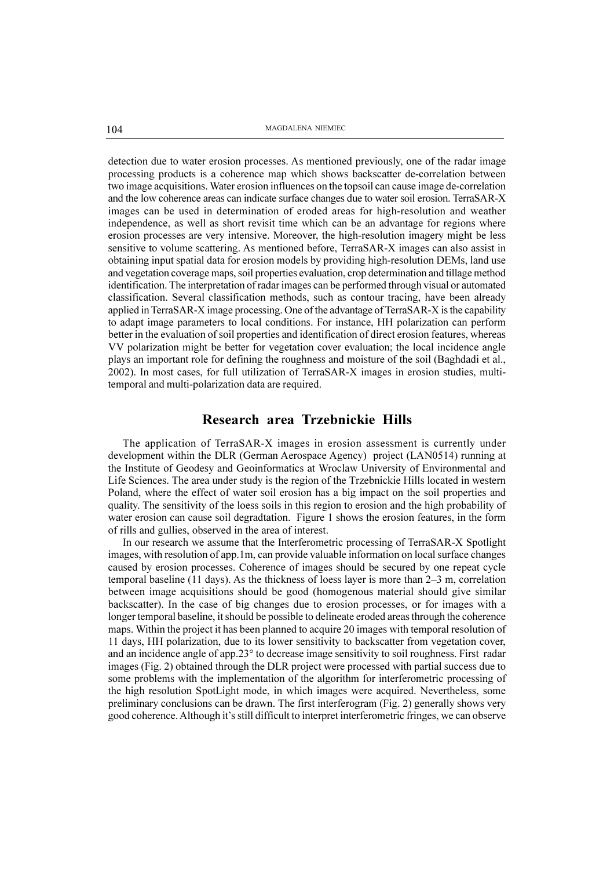detection due to water erosion processes. As mentioned previously, one of the radar image processing products is a coherence map which shows backscatter de-correlation between two image acquisitions. Water erosion influences on the topsoil can cause image de-correlation and the low coherence areas can indicate surface changes due to water soil erosion. TerraSAR-X images can be used in determination of eroded areas for high-resolution and weather independence, as well as short revisit time which can be an advantage for regions where erosion processes are very intensive. Moreover, the high-resolution imagery might be less sensitive to volume scattering. As mentioned before, TerraSAR-X images can also assist in obtaining input spatial data for erosion models by providing high-resolution DEMs, land use and vegetation coverage maps, soil properties evaluation, crop determination and tillage method identification. The interpretation of radar images can be performed through visual or automated classification. Several classification methods, such as contour tracing, have been already applied in TerraSAR-X image processing. One of the advantage of TerraSAR-X is the capability to adapt image parameters to local conditions. For instance, HH polarization can perform better in the evaluation of soil properties and identification of direct erosion features, whereas VV polarization might be better for vegetation cover evaluation; the local incidence angle plays an important role for defining the roughness and moisture of the soil (Baghdadi et al., 2002). In most cases, for full utilization of TerraSAR-X images in erosion studies, multitemporal and multi-polarization data are required.

### Research area Trzebnickie Hills

The application of TerraSAR-X images in erosion assessment is currently under development within the DLR (German Aerospace Agency) project (LAN0514) running at the Institute of Geodesy and Geoinformatics at Wroclaw University of Environmental and Life Sciences. The area under study is the region of the Trzebnickie Hills located in western Poland, where the effect of water soil erosion has a big impact on the soil properties and quality. The sensitivity of the loess soils in this region to erosion and the high probability of water erosion can cause soil degradtation. Figure 1 shows the erosion features, in the form of rills and gullies, observed in the area of interest.

In our research we assume that the Interferometric processing of TerraSAR-X Spotlight images, with resolution of app.1m, can provide valuable information on local surface changes caused by erosion processes. Coherence of images should be secured by one repeat cycle temporal baseline  $(11 \text{ days})$ . As the thickness of loess layer is more than  $2-3$  m, correlation between image acquisitions should be good (homogenous material should give similar backscatter). In the case of big changes due to erosion processes, or for images with a longer temporal baseline, it should be possible to delineate eroded areas through the coherence maps. Within the project it has been planned to acquire 20 images with temporal resolution of 11 days, HH polarization, due to its lower sensitivity to backscatter from vegetation cover, and an incidence angle of app.23° to decrease image sensitivity to soil roughness. First radar images (Fig. 2) obtained through the DLR project were processed with partial success due to some problems with the implementation of the algorithm for interferometric processing of the high resolution SpotLight mode, in which images were acquired. Nevertheless, some preliminary conclusions can be drawn. The first interferogram (Fig. 2) generally shows very good coherence. Although it's still difficult to interpret interferometric fringes, we can observe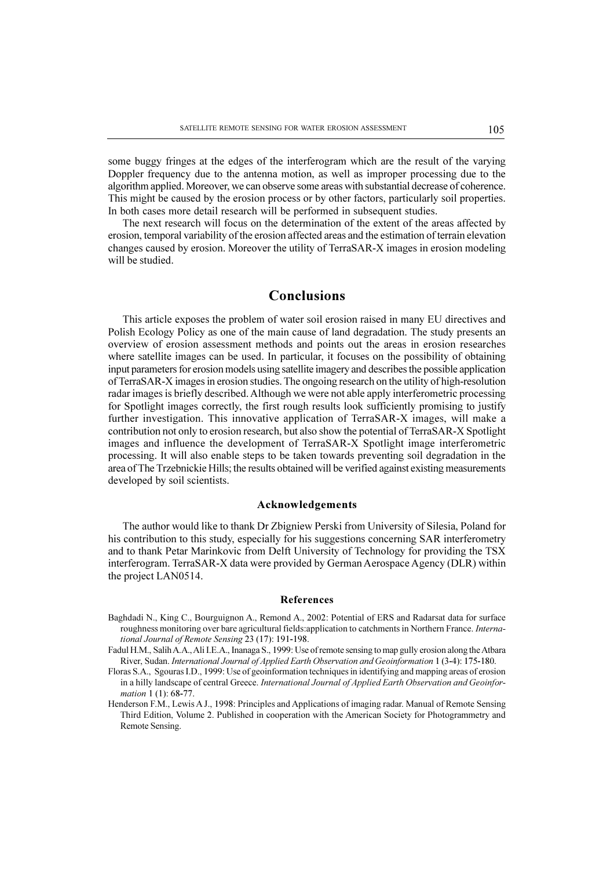some buggy fringes at the edges of the interferogram which are the result of the varying Doppler frequency due to the antenna motion, as well as improper processing due to the algorithm applied. Moreover, we can observe some areas with substantial decrease of coherence. This might be caused by the erosion process or by other factors, particularly soil properties. In both cases more detail research will be performed in subsequent studies.

The next research will focus on the determination of the extent of the areas affected by erosion, temporal variability of the erosion affected areas and the estimation of terrain elevation changes caused by erosion. Moreover the utility of TerraSAR-X images in erosion modeling will be studied.

## Conclusions

This article exposes the problem of water soil erosion raised in many EU directives and Polish Ecology Policy as one of the main cause of land degradation. The study presents an overview of erosion assessment methods and points out the areas in erosion researches where satellite images can be used. In particular, it focuses on the possibility of obtaining input parameters for erosion models using satellite imagery and describes the possible application of TerraSAR-X images in erosion studies. The ongoing research on the utility of high-resolution radar images is briefly described. Although we were not able apply interferometric processing for Spotlight images correctly, the first rough results look sufficiently promising to justify further investigation. This innovative application of TerraSAR-X images, will make a contribution not only to erosion research, but also show the potential of TerraSAR-X Spotlight images and influence the development of TerraSAR-X Spotlight image interferometric processing. It will also enable steps to be taken towards preventing soil degradation in the area of The Trzebnickie Hills; the results obtained will be verified against existing measurements developed by soil scientists.

#### Acknowledgements

The author would like to thank Dr Zbigniew Perski from University of Silesia, Poland for his contribution to this study, especially for his suggestions concerning SAR interferometry and to thank Petar Marinkovic from Delft University of Technology for providing the TSX interferogram. TerraSAR-X data were provided by German Aerospace Agency (DLR) within the project LAN0514.

#### References

- Baghdadi N., King C., Bourguignon A., Remond A., 2002: Potential of ERS and Radarsat data for surface roughness monitoring over bare agricultural fields: application to catchments in Northern France. International Journal of Remote Sensing 23 (17): 191-198.
- Fadul H.M., Salih A.A., Ali I.E.A., Inanaga S., 1999: Use of remote sensing to map gully erosion along the Atbara River, Sudan. International Journal of Applied Earth Observation and Geoinformation 1 (3-4): 175-180.
- Floras S.A., Sgouras I.D., 1999: Use of geoinformation techniques in identifying and mapping areas of erosion in a hilly landscape of central Greece. International Journal of Applied Earth Observation and Geoinformation 1 (1): 68-77.
- Henderson F.M., Lewis A J., 1998: Principles and Applications of imaging radar. Manual of Remote Sensing Third Edition, Volume 2. Published in cooperation with the American Society for Photogrammetry and Remote Sensing.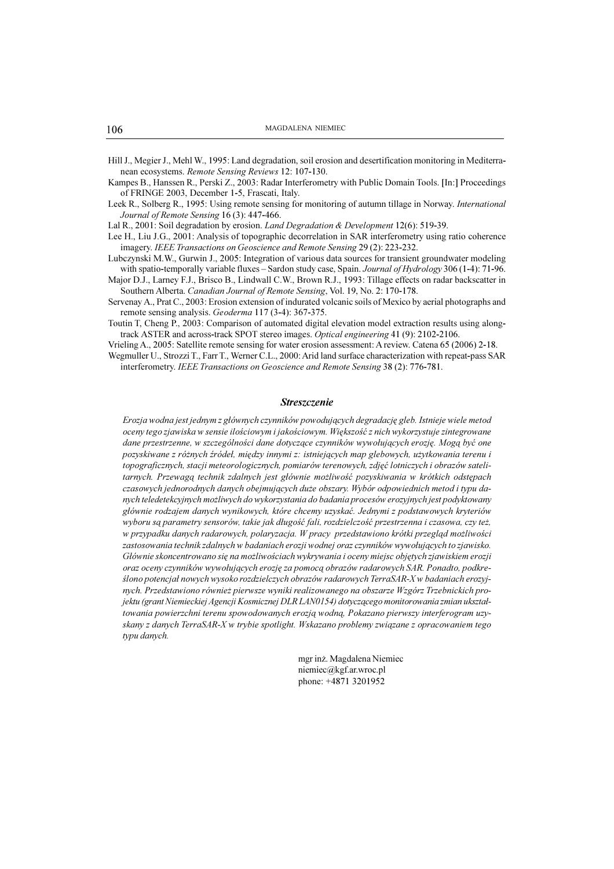Hill J., Megier J., Mehl W., 1995: Land degradation, soil erosion and desertification monitoring in Mediterranean ecosystems. Remote Sensing Reviews 12: 107-130.

Kampes B., Hanssen R., Perski Z., 2003: Radar Interferometry with Public Domain Tools. [In:] Proceedings of FRINGE 2003, December 1-5, Frascati, Italy.

Leek R., Solberg R., 1995: Using remote sensing for monitoring of autumn tillage in Norway. International Journal of Remote Sensing 16 (3): 447-466.

Lal R., 2001: Soil degradation by erosion. Land Degradation & Development 12(6): 519-39.

Lee H., Liu J.G., 2001: Analysis of topographic decorrelation in SAR interferometry using ratio coherence imagery. IEEE Transactions on Geoscience and Remote Sensing 29 (2): 223-232.

Lubczynski M.W., Gurwin J., 2005: Integration of various data sources for transient groundwater modeling with spatio-temporally variable fluxes - Sardon study case, Spain. Journal of Hydrology 306 (1-4): 71-96.

Major D.J., Larney F.J., Brisco B., Lindwall C.W., Brown R.J., 1993: Tillage effects on radar backscatter in Southern Alberta. Canadian Journal of Remote Sensing, Vol. 19, No. 2: 170-178.

Servenay A., Prat C., 2003: Erosion extension of indurated volcanic soils of Mexico by aerial photographs and remote sensing analysis. Geoderma 117 (3-4): 367-375.

Toutin T, Cheng P., 2003: Comparison of automated digital elevation model extraction results using alongtrack ASTER and across-track SPOT stereo images. Optical engineering 41 (9): 2102-2106.

Vrieling A., 2005: Satellite remote sensing for water erosion assessment: A review. Catena 65 (2006) 2-18.

Wegmuller U., Strozzi T., Farr T., Werner C.L., 2000: Arid land surface characterization with repeat-pass SAR interferometry. IEEE Transactions on Geoscience and Remote Sensing 38 (2): 776-781.

#### Streszczenie

Erozja wodna jest jednym z głównych czynników powodujących degradację gleb. Istnieje wiele metod oceny tego zjawiska w sensie ilościowym i jakościowym. Większość z nich wykorzystuje zintegrowane dane przestrzenne, w szczególności dane dotyczące czynników wywołujących erozję. Mogą być one pozyskiwane z różnych źródeł, między innymi z: istniejących map glebowych, użytkowania terenu i topograficznych, stacji meteorologicznych, pomiarów terenowych, zdjęć lotniczych i obrazów satelitarnych. Przewagą technik zdalnych jest głównie możliwość pozyskiwania w krótkich odstępach czasowych jednorodnych danych obejmujących duże obszary. Wybór odpowiednich metod i typu danych teledetekcyjnych mo¿liwych do wykorzystania do badania procesów erozyjnych jest podyktowany głównie rodzajem danych wynikowych, które chcemy uzyskać. Jednymi z podstawowych kryteriów wyboru są parametry sensorów, takie jak długość fali, rozdzielczość przestrzenna i czasowa, czy też, w przypadku danych radarowych, polaryzacja. W pracy przedstawiono krótki przegląd możliwości zastosowania technik zdalnych w badaniach erozji wodnej oraz czynników wywołujących to zjawisko. Głównie skoncentrowano sie na możliwościach wykrywania i oceny miejsc objetych zjawiskiem erozji oraz oceny czynników wywołujących erozję za pomocą obrazów radarowych SAR. Ponadto, podkreślono potencjał nowych wysoko rozdzielczych obrazów radarowych TerraSAR-X w badaniach erozyjnych. Przedstawiono równie¿ pierwsze wyniki realizowanego na obszarze Wzgórz Trzebnickich projektu (grant Niemieckiej Agencji Kosmicznej DLR LAN0154) dotyczącego monitorowania zmian ukształtowania powierzchni terenu spowodowanych erozją wodną, Pokazano pierwszy interferogram uzyskany z danych TerraSAR-X w trybie spotlight. Wskazano problemy związane z opracowaniem tego typu danych.

> mgr in¿. Magdalena Niemiec niemiec@kgf.ar.wroc.pl phone: +4871 3201952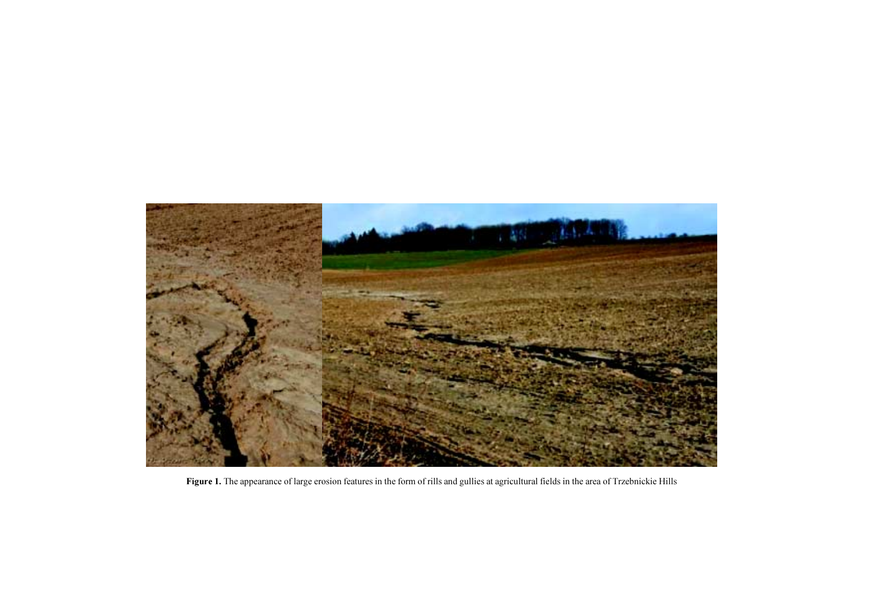